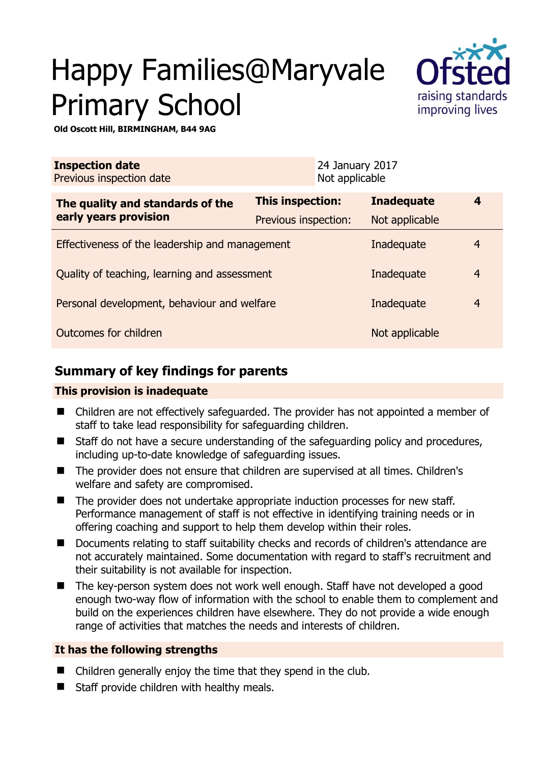# Happy Families@Maryvale Primary School



**Old Oscott Hill, BIRMINGHAM, B44 9AG** 

| <b>Inspection date</b><br>Previous inspection date |                      | 24 January 2017<br>Not applicable |                   |                |
|----------------------------------------------------|----------------------|-----------------------------------|-------------------|----------------|
| The quality and standards of the                   | This inspection:     |                                   | <b>Inadequate</b> | 4              |
| early years provision                              | Previous inspection: |                                   | Not applicable    |                |
| Effectiveness of the leadership and management     |                      |                                   | Inadequate        | 4              |
| Quality of teaching, learning and assessment       |                      |                                   | Inadequate        | $\overline{4}$ |
| Personal development, behaviour and welfare        |                      |                                   | Inadequate        | 4              |
| Outcomes for children                              |                      |                                   | Not applicable    |                |

## **Summary of key findings for parents**

#### **This provision is inadequate**

- Children are not effectively safeguarded. The provider has not appointed a member of staff to take lead responsibility for safeguarding children.
- Staff do not have a secure understanding of the safeguarding policy and procedures, including up-to-date knowledge of safeguarding issues.
- The provider does not ensure that children are supervised at all times. Children's welfare and safety are compromised.
- The provider does not undertake appropriate induction processes for new staff. Performance management of staff is not effective in identifying training needs or in offering coaching and support to help them develop within their roles.
- Documents relating to staff suitability checks and records of children's attendance are not accurately maintained. Some documentation with regard to staff's recruitment and their suitability is not available for inspection.
- The key-person system does not work well enough. Staff have not developed a good enough two-way flow of information with the school to enable them to complement and build on the experiences children have elsewhere. They do not provide a wide enough range of activities that matches the needs and interests of children.

#### **It has the following strengths**

- Children generally enjoy the time that they spend in the club.
- Staff provide children with healthy meals.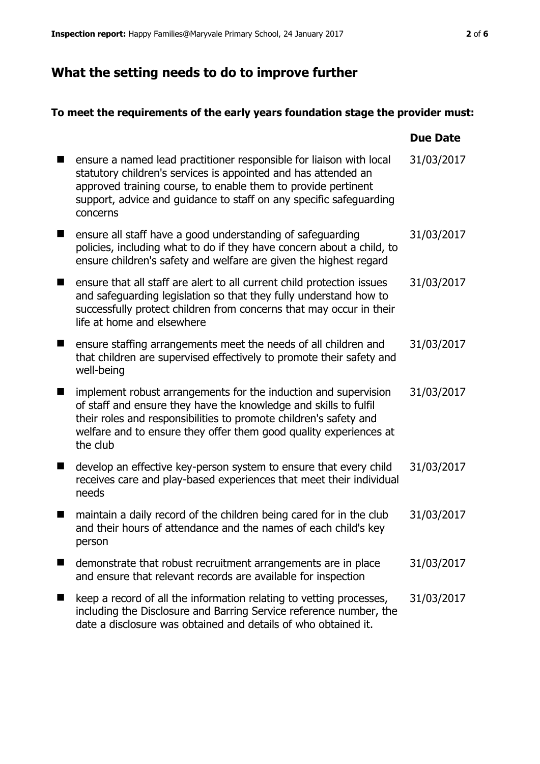## **What the setting needs to do to improve further**

## **To meet the requirements of the early years foundation stage the provider must:**

|   |                                                                                                                                                                                                                                                                                           | <b>Due Date</b> |
|---|-------------------------------------------------------------------------------------------------------------------------------------------------------------------------------------------------------------------------------------------------------------------------------------------|-----------------|
|   | ensure a named lead practitioner responsible for liaison with local<br>statutory children's services is appointed and has attended an<br>approved training course, to enable them to provide pertinent<br>support, advice and guidance to staff on any specific safeguarding<br>concerns  | 31/03/2017      |
| ■ | ensure all staff have a good understanding of safeguarding<br>policies, including what to do if they have concern about a child, to<br>ensure children's safety and welfare are given the highest regard                                                                                  | 31/03/2017      |
| ■ | ensure that all staff are alert to all current child protection issues<br>and safeguarding legislation so that they fully understand how to<br>successfully protect children from concerns that may occur in their<br>life at home and elsewhere                                          | 31/03/2017      |
| ■ | ensure staffing arrangements meet the needs of all children and<br>that children are supervised effectively to promote their safety and<br>well-being                                                                                                                                     | 31/03/2017      |
|   | implement robust arrangements for the induction and supervision<br>of staff and ensure they have the knowledge and skills to fulfil<br>their roles and responsibilities to promote children's safety and<br>welfare and to ensure they offer them good quality experiences at<br>the club | 31/03/2017      |
| ■ | develop an effective key-person system to ensure that every child<br>receives care and play-based experiences that meet their individual<br>needs                                                                                                                                         | 31/03/2017      |
| ■ | maintain a daily record of the children being cared for in the club<br>and their hours of attendance and the names of each child's key<br>person                                                                                                                                          | 31/03/2017      |
|   | demonstrate that robust recruitment arrangements are in place<br>and ensure that relevant records are available for inspection                                                                                                                                                            | 31/03/2017      |
|   | keep a record of all the information relating to vetting processes,<br>including the Disclosure and Barring Service reference number, the<br>date a disclosure was obtained and details of who obtained it.                                                                               | 31/03/2017      |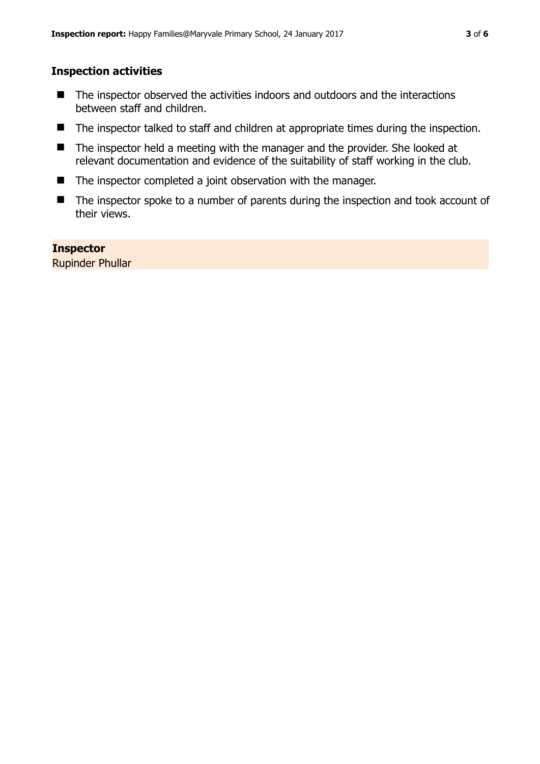#### **Inspection activities**

- The inspector observed the activities indoors and outdoors and the interactions between staff and children.
- The inspector talked to staff and children at appropriate times during the inspection.
- The inspector held a meeting with the manager and the provider. She looked at relevant documentation and evidence of the suitability of staff working in the club.
- The inspector completed a joint observation with the manager.
- The inspector spoke to a number of parents during the inspection and took account of their views.

#### **Inspector**

Rupinder Phullar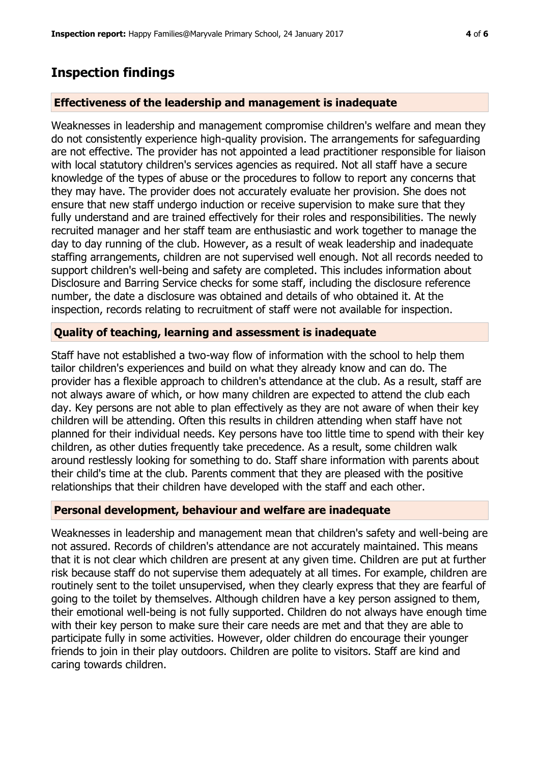### **Inspection findings**

#### **Effectiveness of the leadership and management is inadequate**

Weaknesses in leadership and management compromise children's welfare and mean they do not consistently experience high-quality provision. The arrangements for safeguarding are not effective. The provider has not appointed a lead practitioner responsible for liaison with local statutory children's services agencies as required. Not all staff have a secure knowledge of the types of abuse or the procedures to follow to report any concerns that they may have. The provider does not accurately evaluate her provision. She does not ensure that new staff undergo induction or receive supervision to make sure that they fully understand and are trained effectively for their roles and responsibilities. The newly recruited manager and her staff team are enthusiastic and work together to manage the day to day running of the club. However, as a result of weak leadership and inadequate staffing arrangements, children are not supervised well enough. Not all records needed to support children's well-being and safety are completed. This includes information about Disclosure and Barring Service checks for some staff, including the disclosure reference number, the date a disclosure was obtained and details of who obtained it. At the inspection, records relating to recruitment of staff were not available for inspection.

#### **Quality of teaching, learning and assessment is inadequate**

Staff have not established a two-way flow of information with the school to help them tailor children's experiences and build on what they already know and can do. The provider has a flexible approach to children's attendance at the club. As a result, staff are not always aware of which, or how many children are expected to attend the club each day. Key persons are not able to plan effectively as they are not aware of when their key children will be attending. Often this results in children attending when staff have not planned for their individual needs. Key persons have too little time to spend with their key children, as other duties frequently take precedence. As a result, some children walk around restlessly looking for something to do. Staff share information with parents about their child's time at the club. Parents comment that they are pleased with the positive relationships that their children have developed with the staff and each other.

#### **Personal development, behaviour and welfare are inadequate**

Weaknesses in leadership and management mean that children's safety and well-being are not assured. Records of children's attendance are not accurately maintained. This means that it is not clear which children are present at any given time. Children are put at further risk because staff do not supervise them adequately at all times. For example, children are routinely sent to the toilet unsupervised, when they clearly express that they are fearful of going to the toilet by themselves. Although children have a key person assigned to them, their emotional well-being is not fully supported. Children do not always have enough time with their key person to make sure their care needs are met and that they are able to participate fully in some activities. However, older children do encourage their younger friends to join in their play outdoors. Children are polite to visitors. Staff are kind and caring towards children.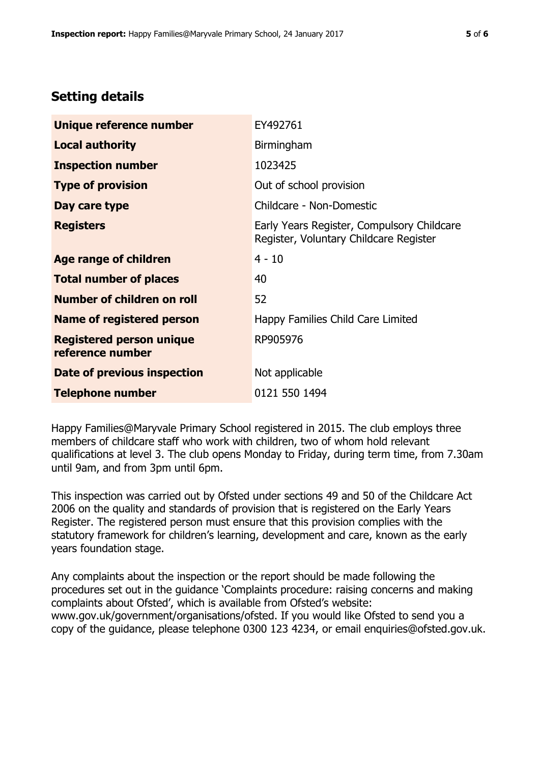## **Setting details**

| Unique reference number                             | EY492761                                                                             |
|-----------------------------------------------------|--------------------------------------------------------------------------------------|
| <b>Local authority</b>                              | Birmingham                                                                           |
| <b>Inspection number</b>                            | 1023425                                                                              |
| <b>Type of provision</b>                            | Out of school provision                                                              |
| Day care type                                       | Childcare - Non-Domestic                                                             |
| <b>Registers</b>                                    | Early Years Register, Compulsory Childcare<br>Register, Voluntary Childcare Register |
| Age range of children                               | $4 - 10$                                                                             |
| <b>Total number of places</b>                       | 40                                                                                   |
| Number of children on roll                          | 52                                                                                   |
| <b>Name of registered person</b>                    | Happy Families Child Care Limited                                                    |
| <b>Registered person unique</b><br>reference number | RP905976                                                                             |
| Date of previous inspection                         | Not applicable                                                                       |
| <b>Telephone number</b>                             | 0121 550 1494                                                                        |

Happy Families@Maryvale Primary School registered in 2015. The club employs three members of childcare staff who work with children, two of whom hold relevant qualifications at level 3. The club opens Monday to Friday, during term time, from 7.30am until 9am, and from 3pm until 6pm.

This inspection was carried out by Ofsted under sections 49 and 50 of the Childcare Act 2006 on the quality and standards of provision that is registered on the Early Years Register. The registered person must ensure that this provision complies with the statutory framework for children's learning, development and care, known as the early years foundation stage.

Any complaints about the inspection or the report should be made following the procedures set out in the guidance 'Complaints procedure: raising concerns and making complaints about Ofsted', which is available from Ofsted's website: www.gov.uk/government/organisations/ofsted. If you would like Ofsted to send you a copy of the guidance, please telephone 0300 123 4234, or email enquiries@ofsted.gov.uk.